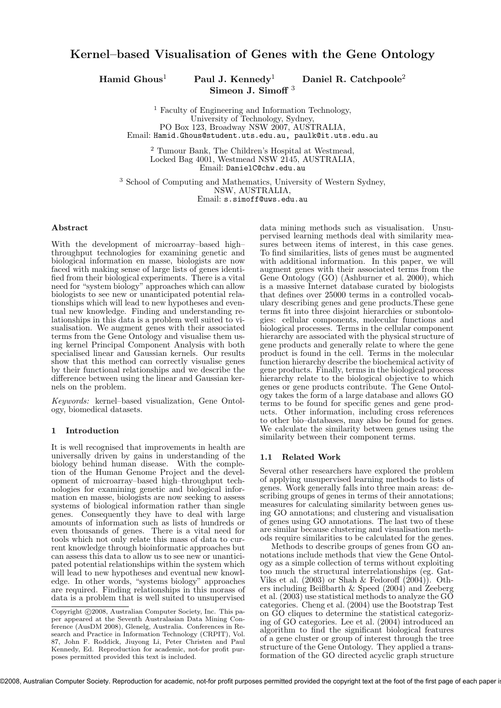### Kernel–based Visualisation of Genes with the Gene Ontology

Hamid Ghous<sup>1</sup> Paul J. Kennedy<sup>1</sup> Daniel R. Catchpoole<sup>2</sup> Simeon J. Simoff<sup>3</sup>

<sup>1</sup> Faculty of Engineering and Information Technology, University of Technology, Sydney, PO Box 123, Broadway NSW 2007, AUSTRALIA, Email: Hamid.Ghous@student.uts.edu.au, paulk@it.uts.edu.au

<sup>2</sup> Tumour Bank, The Children's Hospital at Westmead, Locked Bag 4001, Westmead NSW 2145, AUSTRALIA, Email: DanielC@chw.edu.au

<sup>3</sup> School of Computing and Mathematics, University of Western Sydney, NSW, AUSTRALIA, Email: s.simoff@uws.edu.au

#### Abstract

With the development of microarray–based high– throughput technologies for examining genetic and biological information en masse, biologists are now faced with making sense of large lists of genes identified from their biological experiments. There is a vital need for "system biology" approaches which can allow biologists to see new or unanticipated potential relationships which will lead to new hypotheses and eventual new knowledge. Finding and understanding relationships in this data is a problem well suited to visualisation. We augment genes with their associated terms from the Gene Ontology and visualise them using kernel Principal Component Analysis with both specialised linear and Gaussian kernels. Our results show that this method can correctly visualise genes by their functional relationships and we describe the difference between using the linear and Gaussian kernels on the problem.

*Keywords:* kernel–based visualization, Gene Ontology, biomedical datasets.

#### 1 Introduction

It is well recognised that improvements in health are universally driven by gains in understanding of the biology behind human disease. With the completion of the Human Genome Project and the development of microarray–based high–throughput technologies for examining genetic and biological information en masse, biologists are now seeking to assess systems of biological information rather than single genes. Consequently they have to deal with large amounts of information such as lists of hundreds or even thousands of genes. There is a vital need for tools which not only relate this mass of data to current knowledge through bioinformatic approaches but can assess this data to allow us to see new or unanticipated potential relationships within the system which will lead to new hypotheses and eventual new knowledge. In other words, "systems biology" approaches are required. Finding relationships in this morass of data is a problem that is well suited to unsupervised data mining methods such as visualisation. Unsupervised learning methods deal with similarity measures between items of interest, in this case genes. To find similarities, lists of genes must be augmented with additional information. In this paper, we will augment genes with their associated terms from the Gene Ontology (GO) (Ashburner et al. 2000), which is a massive Internet database curated by biologists that defines over 25000 terms in a controlled vocabulary describing genes and gene products.These gene terms fit into three disjoint hierarchies or subontologies: cellular components, molecular functions and biological processes. Terms in the cellular component hierarchy are associated with the physical structure of gene products and generally relate to where the gene product is found in the cell. Terms in the molecular function hierarchy describe the biochemical activity of gene products. Finally, terms in the biological process hierarchy relate to the biological objective to which genes or gene products contribute. The Gene Ontology takes the form of a large database and allows GO terms to be found for specific genes and gene products. Other information, including cross references to other bio–databases, may also be found for genes. We calculate the similarity between genes using the similarity between their component terms.

#### 1.1 Related Work

Several other researchers have explored the problem of applying unsupervised learning methods to lists of genes. Work generally falls into three main areas: describing groups of genes in terms of their annotations; measures for calculating similarity between genes using GO annotations; and clustering and visualisation of genes using GO annotations. The last two of these are similar because clustering and visualisation methods require similarities to be calculated for the genes.

Methods to describe groups of genes from GO annotations include methods that view the Gene Ontology as a simple collection of terms without exploiting too much the structural interrelationships (eg. Gat-Viks et al.  $(2003)$  or Shah & Fedoroff  $(2004)$ ). Others including Beißbarth & Speed (2004) and Zeeberg et al.  $(2003)$  use statistical methods to analyze the GO categories. Cheng et al. (2004) use the Bootstrap Test on GO cliques to determine the statistical categorizing of GO categories. Lee et al. (2004) introduced an algorithm to find the significant biological features of a gene cluster or group of interest through the tree structure of the Gene Ontology. They applied a transformation of the GO directed acyclic graph structure

Copyright ©2008, Australian Computer Society, Inc. This paper appeared at the Seventh Australasian Data Mining Conference (AusDM 2008), Glenelg, Australia. Conferences in Research and Practice in Information Technology (CRPIT), Vol. 87, John F. Roddick, Jiuyong Li, Peter Christen and Paul Kennedy, Ed. Reproduction for academic, not-for profit purposes permitted provided this text is included.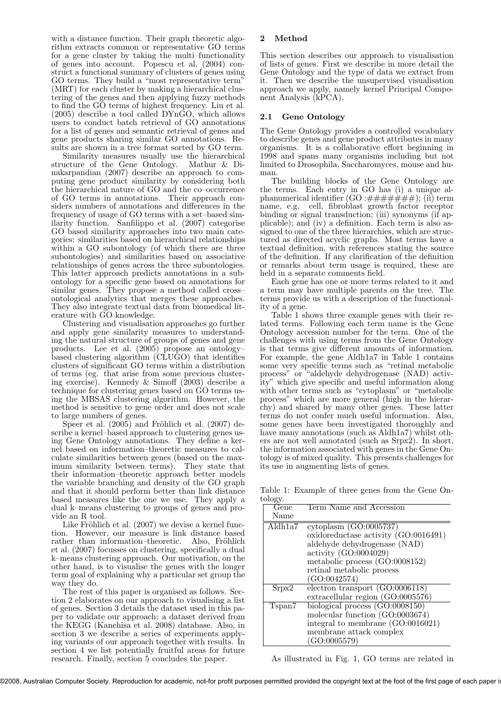with a distance function. Their graph theoretic algorithm extracts common or representative GO terms for a gene cluster by taking the multi–functionality of genes into account. Popescu et al. (2004) construct a functional summary of clusters of genes using GO terms. They build a "most representative term" (MRT) for each cluster by making a hierarchical clustering of the genes and then applying fuzzy methods to find the GO terms of highest frequency. Liu et al. (2005) describe a tool called DYnGO, which allows users to conduct batch retrieval of GO annotations for a list of genes and semantic retrieval of genes and gene products sharing similar GO annotations. Results are shown in a tree format sorted by GO term.

Similarity measures usually use the hierarchical structure of the Gene Ontology. Mathur & Dinakarpandian (2007) describe an approach to computing gene product similarity by considering both the hierarchical nature of GO and the co–occurrence of GO terms in annotations. Their approach considers numbers of annotations and differences in the frequency of usage of GO terms with a set–based similarity function. Sanfilippo et al. (2007) categorise GO based similarity approaches into two main categories: similarities based on hierarchical relationships within a GO subontology (of which there are three subontologies) and similarities based on associative relationships of genes across the three subontologies. This latter approach predicts annotations in a subontology for a specific gene based on annotations for similar genes. They propose a method called cross– ontological analytics that merges these approaches. They also integrate textual data from biomedical literature with GO knowledge.

Clustering and visualisation approaches go further and apply gene similarity measures to understanding the natural structure of groups of genes and gene products. Lee et al. (2005) propose an ontology– based clustering algorithm (CLUGO) that identifies clusters of significant GO terms within a distribution of terms (eg. that arise from some previous clustering exercise). Kennedy  $&$  Simoff (2003) describe a technique for clustering genes based on GO terms using the MBSAS clustering algorithm. However, the method is sensitive to gene order and does not scale to large numbers of genes.

Speer et al.  $(2005)$  and Fröhlich et al.  $(2007)$  describe a kernel–based approach to clustering genes using Gene Ontology annotations. They define a kernel based on information–theoretic measures to calculate similarities between genes (based on the maximum similarity between terms). They state that their information–theoretic approach better models the variable branching and density of the GO graph and that it should perform better than link distance based measures like the one we use. They apply a dual k–means clustering to groups of genes and provide an R tool.

Like Fröhlich et al.  $(2007)$  we devise a kernel function. However, our measure is link distance based rather than information–theoretic. Also, Fröhlich et al. (2007) focusses on clustering, specifically a dual k–means clustering approach. Our motivation, on the other hand, is to visualise the genes with the longer term goal of explaining why a particular set group the way they do.

The rest of this paper is organised as follows. Section 2 elaborates on our approach to visualising a list of genes. Section 3 details the dataset used in this paper to validate our approach: a dataset derived from the KEGG (Kanehisa et al. 2008) database. Also, in section 3 we describe a series of experiments applying variants of our approach together with results. In section 4 we list potentially fruitful areas for future research. Finally, section 5 concludes the paper.

#### 2 Method

This section describes our approach to visualisation of lists of genes. First we describe in more detail the Gene Ontology and the type of data we extract from it. Then we describe the unsupervised visualisation approach we apply, namely kernel Principal Component Analysis (kPCA).

#### 2.1 Gene Ontology

The Gene Ontology provides a controlled vocabulary to describe genes and gene product attributes in many organisms. It is a collaborative effort beginning in 1998 and spans many organisms including but not limited to Drosophila, Saccharomyces, mouse and human.

The building blocks of the Gene Ontology are the terms. Each entry in GO has (i) a unique alphanumerical identifier  $(GO : \# \# \# \# \# \# \#);$  (ii) term name, e.g. cell, fibroblast growth factor receptor binding or signal transduction; (iii) synonyms (if applicable); and (iv) a definition. Each term is also assigned to one of the three hierarchies, which are structured as directed acyclic graphs. Most terms have a textual definition, with references stating the source of the definition. If any clarification of the definition or remarks about term usage is required, these are held in a separate comments field.

Each gene has one or more terms related to it and a term may have multiple parents on the tree. The terms provide us with a description of the functionality of a gene.

Table 1 shows three example genes with their related terms. Following each term name is the Gene Ontology accession number for the term. One of the challenges with using terms from the Gene Ontology is that terms give different amounts of information. For example, the gene Aldh1a7 in Table 1 contains some very specific terms such as "retinal metabolic process" or "aldehyde dehydrogenase (NAD) activity" which give specific and useful information along with other terms such as "cytoplasm" or "metabolic process" which are more general (high in the hierarchy) and shared by many other genes. These latter terms do not confer much useful information. Also, some genes have been investigated thoroughly and have many annotations (such as Aldh1a7) whilst others are not well annotated (such as Srpx2). In short, the information associated with genes in the Gene Ontology is of mixed quality. This presents challenges for its use in augmenting lists of genes.

Table 1: Example of three genes from the Gene Ontology.

| $\mathbf{0.10}_{\mathbf{0.7}}$ |                                              |
|--------------------------------|----------------------------------------------|
| Gene                           | Term Name and Accession                      |
| Name                           |                                              |
| Aldh1a7                        | cytoplasm (GO:0005737)                       |
|                                | oxidoreductase activity (GO:0016491)         |
|                                | aldehyde dehydrogenase (NAD)                 |
|                                | activity $(GO:0004029)$                      |
|                                | metabolic process $(GO:0008152)$             |
|                                | retinal metabolic process                    |
|                                | (GO:0042574)                                 |
| S <sub>rpx2</sub>              | electron transport $(\overline{GO:0006118})$ |
|                                | extracellular region (GO:0005576)            |
| Tspan7                         | biological process $(GO:0008150)$            |
|                                | molecular function (GO:0003674)              |
|                                | integral to membrane (GO:0016021)            |
|                                | membrane attack complex                      |
|                                | (GO:0005579)                                 |

As illustrated in Fig. 1, GO terms are related in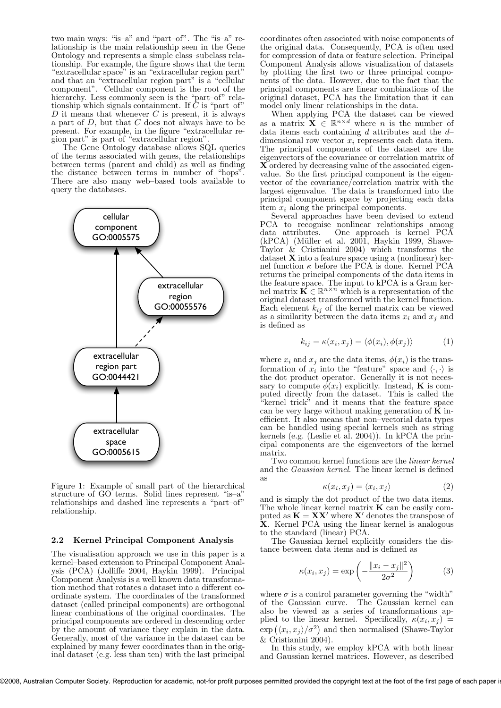two main ways: "is–a" and "part–of". The "is–a" relationship is the main relationship seen in the Gene Ontology and represents a simple class–subclass relationship. For example, the figure shows that the term "extracellular space" is an "extracellular region part" and that an "extracellular region part" is a "cellular component". Cellular component is the root of the hierarchy. Less commonly seen is the "part–of" relationship which signals containment. If  $\overline{C}$  is "part–of"  $D$  it means that whenever  $C$  is present, it is always a part of  $D$ , but that  $C$  does not always have to be present. For example, in the figure "extracellular region part" is part of "extracellular region".

The Gene Ontology database allows SQL queries of the terms associated with genes, the relationships between terms (parent and child) as well as finding the distance between terms in number of "hops". There are also many web–based tools available to query the databases.



Figure 1: Example of small part of the hierarchical structure of GO terms. Solid lines represent "is–a" relationships and dashed line represents a "part–of" relationship.

#### 2.2 Kernel Principal Component Analysis

The visualisation approach we use in this paper is a kernel–based extension to Principal Component Analysis (PCA) (Jolliffe 2004, Haykin 1999). Principal Component Analysis is a well known data transformation method that rotates a dataset into a different coordinate system. The coordinates of the transformed dataset (called principal components) are orthogonal linear combinations of the original coordinates. The principal components are ordered in descending order by the amount of variance they explain in the data. Generally, most of the variance in the dataset can be explained by many fewer coordinates than in the original dataset (e.g. less than ten) with the last principal

coordinates often associated with noise components of the original data. Consequently, PCA is often used for compression of data or feature selection. Principal Component Analysis allows visualization of datasets by plotting the first two or three principal components of the data. However, due to the fact that the principal components are linear combinations of the original dataset, PCA has the limitation that it can model only linear relationships in the data.

When applying PCA the dataset can be viewed as a matrix  $\mathbf{X} \in \mathbb{R}^{n \times d}$  where *n* is the number of data items each containing *d* attributes and the *d*dimensional row vector  $x_i$  represents each data item. The principal components of the dataset are the eigenvectors of the covariance or correlation matrix of  $\widetilde{\mathbf{X}}$  ordered by decreasing value of the associated eigenvalue. So the first principal component is the eigenvector of the covariance/correlation matrix with the largest eigenvalue. The data is transformed into the principal component space by projecting each data item x*<sup>i</sup>* along the principal components.

Several approaches have been devised to extend PCA to recognise nonlinear relationships among data attributes. One approach is kernel PCA (kPCA) (Müller et al. 2001, Haykin 1999, Shawe-Taylor  $\&$  Cristianini 2004) which transforms the dataset **X** into a feature space using a (nonlinear) kernel function  $\kappa$  before the PCA is done. Kernel PCA returns the principal components of the data items in the feature space. The input to kPCA is a Gram kernel matrix  $\mathbf{K} \in \mathbb{R}^{n \times n}$  which is a representation of the original dataset transformed with the kernel function. Each element  $k_{ij}$  of the kernel matrix can be viewed as a similarity between the data items  $x_i$  and  $x_j$  and is defined as

$$
k_{ij} = \kappa(x_i, x_j) = \langle \phi(x_i), \phi(x_j) \rangle \tag{1}
$$

where  $x_i$  and  $x_j$  are the data items,  $\phi(x_i)$  is the transformation of  $x_i$  into the "feature" space and  $\langle \cdot, \cdot \rangle$  is the dot product operator. Generally it is not necessary to compute  $\phi(x_i)$  explicitly. Instead, **K** is computed directly from the dataset. This is called the "kernel trick" and it means that the feature space can be very large without making generation of  $\overline{K}$  inefficient. It also means that non–vectorial data types can be handled using special kernels such as string kernels (e.g. (Leslie et al. 2004)). In kPCA the principal components are the eigenvectors of the kernel matrix.

Two common kernel functions are the *linear kernel* and the *Gaussian kernel*. The linear kernel is defined as

$$
\kappa(x_i, x_j) = \langle x_i, x_j \rangle \tag{2}
$$

and is simply the dot product of the two data items. The whole linear kernel matrix  $\bf{K}$  can be easily computed as  $\mathbf{K} = \mathbf{X}\mathbf{X}'$  where  $\mathbf{X}'$  denotes the transpose of X. Kernel PCA using the linear kernel is analogous to the standard (linear) PCA.

The Gaussian kernel explicitly considers the distance between data items and is defined as

$$
\kappa(x_i, x_j) = \exp\left(-\frac{\|x_i - x_j\|^2}{2\sigma^2}\right) \tag{3}
$$

where  $\sigma$  is a control parameter governing the "width" of the Gaussian curve. The Gaussian kernel can also be viewed as a series of transformations applied to the linear kernel. Specifically,  $\kappa(x_i, x_j)$  =  $\exp\left(\langle x_i, x_j \rangle / \sigma^2\right)$  and then normalised (Shawe-Taylor  $&$  Cristianini 2004).

In this study, we employ kPCA with both linear and Gaussian kernel matrices. However, as described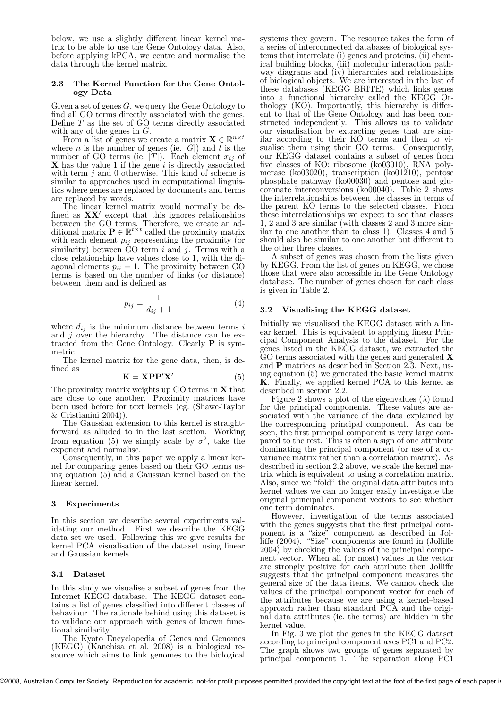below, we use a slightly different linear kernel matrix to be able to use the Gene Ontology data. Also, before applying kPCA, we centre and normalise the data through the kernel matrix.

#### 2.3 The Kernel Function for the Gene Ontology Data

Given a set of genes  $G$ , we query the Gene Ontology to find all GO terms directly associated with the genes. Define  $T$  as the set of  $G$ <sup>O</sup> terms directly associated with any of the genes in  $G$ .

From a list of genes we create a matrix  $\mathbf{X} \in \mathbb{R}^{n \times t}$ where *n* is the number of genes (ie.  $|G|$ ) and *t* is the number of GO terms (ie.  $|T|$ ). Each element  $x_{ij}$  of  $X$  has the value 1 if the gene i is directly associated with term  $j$  and 0 otherwise. This kind of scheme is similar to approaches used in computational linguistics where genes are replaced by documents and terms are replaced by words.

The linear kernel matrix would normally be defined as  $\mathbf{X}\mathbf{X}'$  except that this ignores relationships between the GO terms. Therefore, we create an additional matrix  $\mathbf{P} \in \mathbb{R}^{t \times t}$  called the proximity matrix with each element p*ij* representing the proximity (or similarity) between  $\ddot{G}O$  term i and j. Terms with a close relationship have values close to 1, with the diagonal elements  $p_{ii} = 1$ . The proximity between GO terms is based on the number of links (or distance) between them and is defined as

$$
p_{ij} = \frac{1}{d_{ij} + 1} \tag{4}
$$

where  $d_{ij}$  is the minimum distance between terms  $i$ and  $j$  over the hierarchy. The distance can be extracted from the Gene Ontology. Clearly P is symmetric.

The kernel matrix for the gene data, then, is defined as

$$
\mathbf{K} = \mathbf{XPP}^{\prime}\mathbf{X}^{\prime} \tag{5}
$$

The proximity matrix weights up GO terms in X that are close to one another. Proximity matrices have been used before for text kernels (eg. (Shawe-Taylor & Cristianini 2004)).

The Gaussian extension to this kernel is straightforward as alluded to in the last section. Working from equation (5) we simply scale by  $\sigma^2$ , take the exponent and normalise.

Consequently, in this paper we apply a linear kernel for comparing genes based on their GO terms using equation (5) and a Gaussian kernel based on the linear kernel.

#### 3 Experiments

In this section we describe several experiments validating our method. First we describe the KEGG data set we used. Following this we give results for kernel PCA visualisation of the dataset using linear and Gaussian kernels.

#### 3.1 Dataset

In this study we visualise a subset of genes from the Internet KEGG database. The KEGG dataset contains a list of genes classified into different classes of behaviour. The rationale behind using this dataset is to validate our approach with genes of known functional similarity.

The Kyoto Encyclopedia of Genes and Genomes (KEGG) (Kanehisa et al. 2008) is a biological resource which aims to link genomes to the biological systems they govern. The resource takes the form of a series of interconnected databases of biological systems that interrelate (i) genes and proteins, (ii) chemical building blocks, (iii) molecular interaction pathway diagrams and (iv) hierarchies and relationships of biological objects. We are interested in the last of these databases (KEGG BRITE) which links genes into a functional hierarchy called the KEGG Orthology (KO). Importantly, this hierarchy is different to that of the Gene Ontology and has been constructed independently. This allows us to validate our visualisation by extracting genes that are similar according to their KO terms and then to visualise them using their GO terms. Consequently, our KEGG dataset contains a subset of genes from five classes of KO: ribosome (ko03010), RNA polymerase (ko03020), transcription (ko01210), pentose phosphate pathway (ko00030) and pentose and glucoronate interconversions (ko00040). Table 2 shows the interrelationships between the classes in terms of the parent KO terms to the selected classes. From these interrelationships we expect to see that classes 1, 2 and 3 are similar (with classes 2 and 3 more similar to one another than to class 1). Classes 4 and 5 should also be similar to one another but different to the other three classes.

A subset of genes was chosen from the lists given by KEGG. From the list of genes on KEGG, we chose those that were also accessible in the Gene Ontology database. The number of genes chosen for each class is given in Table 2.

#### 3.2 Visualising the KEGG dataset

Initially we visualised the KEGG dataset with a linear kernel. This is equivalent to applying linear Principal Component Analysis to the dataset. For the genes listed in the KEGG dataset, we extracted the GO terms associated with the genes and generated **X** and P matrices as described in Section 2.3. Next, using equation (5) we generated the basic kernel matrix K. Finally, we applied kernel PCA to this kernel as described in section 2.2.

Figure 2 shows a plot of the eigenvalues  $(\lambda)$  found for the principal components. These values are associated with the variance of the data explained by the corresponding principal component. As can be seen, the first principal component is very large compared to the rest. This is often a sign of one attribute dominating the principal component (or use of a covariance matrix rather than a correlation matrix). As described in section 2.2 above, we scale the kernel matrix which is equivalent to using a correlation matrix. Also, since we "fold" the original data attributes into kernel values we can no longer easily investigate the original principal component vectors to see whether one term dominates.

However, investigation of the terms associated with the genes suggests that the first principal component is a "size" component as described in Jolliffe (2004). "Size" components are found in (Jolliffe 2004) by checking the values of the principal component vector. When all (or most) values in the vector are strongly positive for each attribute then Jolliffe suggests that the principal component measures the general size of the data items. We cannot check the values of the principal component vector for each of the attributes because we are using a kernel–based approach rather than standard PCA and the original data attributes (ie. the terms) are hidden in the kernel value.

In Fig. 3 we plot the genes in the KEGG dataset according to principal component axes PC1 and PC2. The graph shows two groups of genes separated by principal component 1. The separation along PC1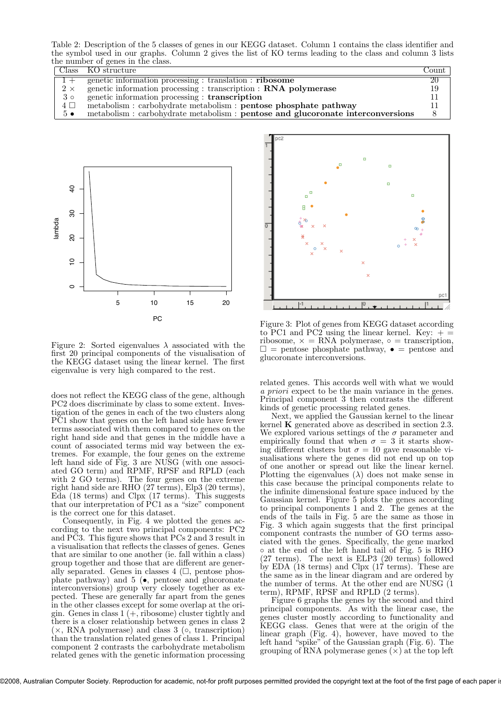Table 2: Description of the 5 classes of genes in our KEGG dataset. Column 1 contains the class identifier and the symbol used in our graphs. Column 2 gives the list of KO terms leading to the class and column 3 lists the number of genes in the class.

|             | Class KO structure                                                              | $\sqrt{\text{count}}$ |
|-------------|---------------------------------------------------------------------------------|-----------------------|
|             | genetic information processing : translation : ribosome                         | 20                    |
| $2 \times$  | genetic information processing : transcription : RNA polymerase                 | 19                    |
| $3 \circ$   | genetic information processing : transcription                                  |                       |
| $4\Box$     | metabolism : carbohydrate metabolism : pentose phosphate pathway                |                       |
| $5 \bullet$ | metabolism : carbohydrate metabolism : pentose and glucoronate interconversions |                       |



Figure 2: Sorted eigenvalues  $\lambda$  associated with the first 20 principal components of the visualisation of the KEGG dataset using the linear kernel. The first eigenvalue is very high compared to the rest.

does not reflect the KEGG class of the gene, although PC2 does discriminate by class to some extent. Investigation of the genes in each of the two clusters along PC1 show that genes on the left hand side have fewer terms associated with them compared to genes on the right hand side and that genes in the middle have a count of associated terms mid way between the extremes. For example, the four genes on the extreme left hand side of Fig. 3 are NUSG (with one associated GO term) and RPMF, RPSF and RPLD (each with 2 GO terms). The four genes on the extreme right hand side are RHO (27 terms), Elp3 (20 terms), Eda (18 terms) and Clpx (17 terms). This suggests that our interpretation of PC1 as a "size" component is the correct one for this dataset.

Consequently, in Fig. 4 we plotted the genes according to the next two principal components: PC2 and PC3. This figure shows that PCs 2 and 3 result in a visualisation that reflects the classes of genes. Genes that are similar to one another (ie. fall within a class) group together and those that are different are generally separated. Genes in classes  $4$  ( $\Box$ , pentose phosphate pathway) and  $5(\bullet, \text{ pentose} \text{ and } \text{glucoronate})$ interconversions) group very closely together as expected. These are generally far apart from the genes in the other classes except for some overlap at the origin. Genes in class  $1 (+,$  ribosome) cluster tightly and there is a closer relationship between genes in class 2  $(x, RNA$  polymerase) and class 3 ( $\circ$ , transcription) than the translation related genes of class 1. Principal component 2 contrasts the carbohydrate metabolism related genes with the genetic information processing



Figure 3: Plot of genes from KEGG dataset according to PC1 and PC2 using the linear kernel. Key:  $+ =$ ribosome,  $x = RNA$  polymerase,  $\circ$  = transcription,  $\Box$  = pentose phosphate pathway,  $\bullet$  = pentose and glucoronate interconversions.

related genes. This accords well with what we would *a priori* expect to be the main variance in the genes. Principal component 3 then contrasts the different kinds of genetic processing related genes.

Next, we applied the Gaussian kernel to the linear kernel K generated above as described in section 2.3. We explored various settings of the  $\sigma$  parameter and empirically found that when  $\sigma = 3$  it starts showing different clusters but  $\sigma = 10$  gave reasonable visualisations where the genes did not end up on top of one another or spread out like the linear kernel. Plotting the eigenvalues  $(\lambda)$  does not make sense in this case because the principal components relate to the infinite dimensional feature space induced by the Gaussian kernel. Figure 5 plots the genes according to principal components 1 and 2. The genes at the ends of the tails in Fig. 5 are the same as those in Fig. 3 which again suggests that the first principal component contrasts the number of GO terms associated with the genes. Specifically, the gene marked ◦ at the end of the left hand tail of Fig. 5 is RHO (27 terms). The next is ELP3 (20 terms) followed by EDA (18 terms) and Clpx (17 terms). These are the same as in the linear diagram and are ordered by the number of terms. At the other end are NUSG (1 term), RPMF, RPSF and RPLD (2 terms).

Figure 6 graphs the genes by the second and third principal components. As with the linear case, the genes cluster mostly according to functionality and KEGG class. Genes that were at the origin of the linear graph (Fig. 4), however, have moved to the left hand "spike" of the Gaussian graph (Fig. 6). The grouping of RNA polymerase genes  $(\times)$  at the top left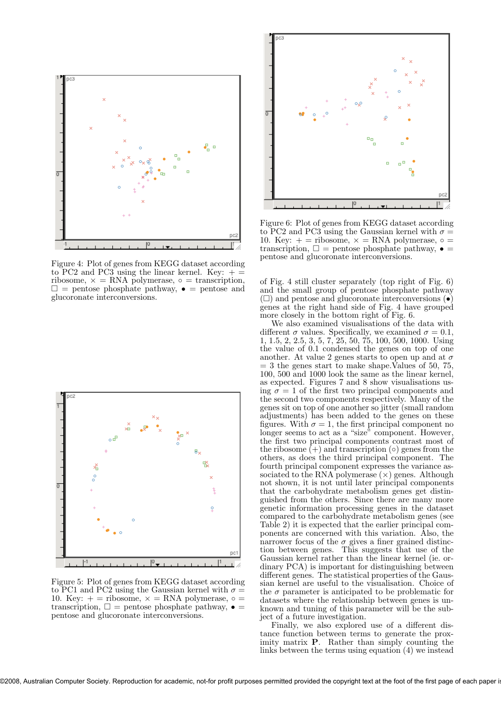

Figure 4: Plot of genes from KEGG dataset according to PC2 and PC3 using the linear kernel. Key:  $+ =$ ribosome,  $x = RNA$  polymerase,  $\circ$  = transcription,  $\square$  = pentose phosphate pathway,  $\bullet$  = pentose and glucoronate interconversions.



Figure 5: Plot of genes from KEGG dataset according to PC1 and PC2 using the Gaussian kernel with  $\sigma = 10$ . Key:  $+$  = ribosome,  $\times$  = RNA polymerase,  $\circ$  = transcription,  $\square$  = pentose phosphate pathway,  $\bullet$  = pentose and glucoronate interconversions.



Figure 6: Plot of genes from KEGG dataset according to PC2 and PC3 using the Gaussian kernel with  $\sigma = 10$ . Key:  $+$  = ribosome,  $\times$  = RNA polymerase,  $\circ$  = transcription,  $\square$  = pentose phosphate pathway,  $\bullet$  = pentose and glucoronate interconversions.

of Fig. 4 still cluster separately (top right of Fig. 6) and the small group of pentose phosphate pathway  $(\Box)$  and pentose and glucoronate interconversions  $(\bullet)$ genes at the right hand side of Fig. 4 have grouped more closely in the bottom right of Fig. 6.

We also examined visualisations of the data with different  $\sigma$  values. Specifically, we examined  $\sigma = 0.1$ , 1, 1.5, 2, 2.5, 3, 5, 7, 25, 50, 75, 100, 500, 1000. Using the value of 0.1 condensed the genes on top of one another. At value 2 genes starts to open up and at  $\sigma$  $= 3$  the genes start to make shape. Values of 50, 75, 100, 500 and 1000 look the same as the linear kernel, as expected. Figures 7 and 8 show visualisations using  $\sigma = 1$  of the first two principal components and the second two components respectively. Many of the genes sit on top of one another so jitter (small random adjustments) has been added to the genes on these figures. With  $\sigma = 1$ , the first principal component no longer seems to act as a "size" component. However, the first two principal components contrast most of the ribosome  $(+)$  and transcription  $(∘)$  genes from the others, as does the third principal component. The fourth principal component expresses the variance associated to the RNA polymerase  $(\times)$  genes. Although not shown, it is not until later principal components that the carbohydrate metabolism genes get distinguished from the others. Since there are many more genetic information processing genes in the dataset compared to the carbohydrate metabolism genes (see Table 2) it is expected that the earlier principal components are concerned with this variation. Also, the narrower focus of the  $\sigma$  gives a finer grained distinction between genes. This suggests that use of the Gaussian kernel rather than the linear kernel (ie. ordinary PCA) is important for distinguishing between different genes. The statistical properties of the Gaussian kernel are useful to the visualisation. Choice of the  $\sigma$  parameter is anticipated to be problematic for datasets where the relationship between genes is unknown and tuning of this parameter will be the subject of a future investigation.

Finally, we also explored use of a different distance function between terms to generate the proximity matrix P. Rather than simply counting the links between the terms using equation (4) we instead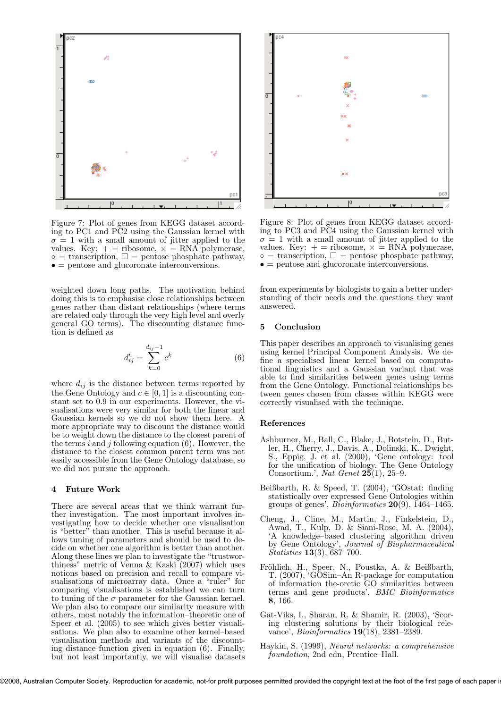

Figure 7: Plot of genes from KEGG dataset according to PC1 and PC2 using the Gaussian kernel with  $\sigma = 1$  with a small amount of jitter applied to the values. Key:  $+$  = ribosome,  $\times$  = RNA polymerase,  $\circ$  = transcription,  $\square$  = pentose phosphate pathway, • = pentose and glucoronate interconversions.

weighted down long paths. The motivation behind doing this is to emphasise close relationships between genes rather than distant relationships (where terms are related only through the very high level and overly general GO terms). The discounting distance function is defined as

$$
d'_{ij} = \sum_{k=0}^{d_{ij}-1} c^k
$$
 (6)

where  $d_{ij}$  is the distance between terms reported by the Gene Ontology and  $c \in [0, 1]$  is a discounting constant set to 0.9 in our experiments. However, the visualisations were very similar for both the linear and Gaussian kernels so we do not show them here. A more appropriate way to discount the distance would be to weight down the distance to the closest parent of the terms i and j following equation  $(6)$ . However, the distance to the closest common parent term was not easily accessible from the Gene Ontology database, so we did not pursue the approach.

#### 4 Future Work

There are several areas that we think warrant further investigation. The most important involves investigating how to decide whether one visualisation is "better" than another. This is useful because it allows tuning of parameters and should be used to decide on whether one algorithm is better than another. Along these lines we plan to investigate the "trustworthiness" metric of Venna & Kaski (2007) which uses notions based on precision and recall to compare visualisations of microarray data. Once a "ruler" for comparing visualisations is established we can turn to tuning of the  $\sigma$  parameter for the Gaussian kernel. We plan also to compare our similarity measure with others, most notably the information–theoretic one of Speer et al.  $(2005)$  to see which gives better visualisations. We plan also to examine other kernel–based visualisation methods and variants of the discounting distance function given in equation (6). Finally, but not least importantly, we will visualise datasets



Figure 8: Plot of genes from KEGG dataset according to PC3 and PC4 using the Gaussian kernel with  $\sigma = 1$  with a small amount of jitter applied to the values. Key:  $+$  = ribosome,  $\times$  = RNA polymerase,  $\circ$  = transcription,  $\square$  = pentose phosphate pathway,  $\bullet$  = pentose and glucoronate interconversions.

from experiments by biologists to gain a better understanding of their needs and the questions they want answered.

#### 5 Conclusion

This paper describes an approach to visualising genes using kernel Principal Component Analysis. We define a specialised linear kernel based on computational linguistics and a Gaussian variant that was able to find similarities between genes using terms from the Gene Ontology. Functional relationships between genes chosen from classes within KEGG were correctly visualised with the technique.

#### References

- Ashburner, M., Ball, C., Blake, J., Botstein, D., Butler, H., Cherry, J., Davis, A., Dolinski, K., Dwight, S., Eppig, J. et al. (2000), 'Gene ontology: tool for the unification of biology. The Gene Ontology Consortium.', *Nat Genet* 25(1), 25–9.
- Beißbarth, R. & Speed, T. (2004), 'GOstat: finding statistically over expressed Gene Ontologies within groups of genes', *Bioinformatics* 20(9), 1464–1465.
- Cheng, J., Cline, M., Martin, J., Finkelstein, D., Awad, T., Kulp, D. & Siani-Rose, M. A. (2004), 'A knowledge–based clustering algorithm driven by Gene Ontology', *Journal of Biopharmaceutical Statistics* 13(3), 687–700.
- Fröhlich, H., Speer, N., Poustka, A. & Beißbarth, T. (2007), 'GOSim–An R-package for computation of information the-oretic GO similarities between terms and gene products', *BMC Bioinformatics* 8, 166.
- Gat-Viks, I., Sharan, R. & Shamir, R. (2003), 'Scoring clustering solutions by their biological relevance', *Bioinformatics* 19(18), 2381–2389.
- Haykin, S. (1999), *Neural networks: a comprehensive foundation*, 2nd edn, Prentice–Hall.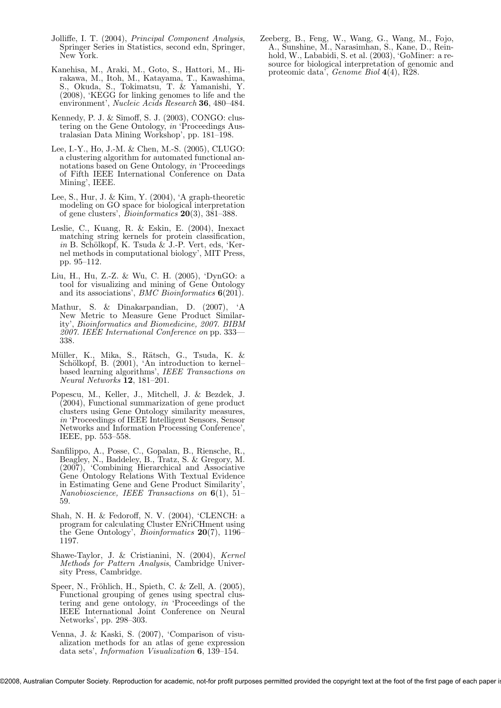- Jolliffe, I. T. (2004), *Principal Component Analysis*, Springer Series in Statistics, second edn, Springer, New York.
- Kanehisa, M., Araki, M., Goto, S., Hattori, M., Hirakawa, M., Itoh, M., Katayama, T., Kawashima, S., Okuda, S., Tokimatsu, T. & Yamanishi, Y. (2008), 'KEGG for linking genomes to life and the environment', *Nucleic Acids Research* 36, 480–484.
- Kennedy, P. J. & Simoff, S. J. (2003), CONGO: clustering on the Gene Ontology, *in* 'Proceedings Australasian Data Mining Workshop', pp. 181–198.
- Lee, I.-Y., Ho, J.-M. & Chen, M.-S. (2005), CLUGO: a clustering algorithm for automated functional annotations based on Gene Ontology, *in* 'Proceedings of Fifth IEEE International Conference on Data Mining', IEEE.
- Lee, S., Hur, J. & Kim, Y. (2004), 'A graph-theoretic modeling on GO space for biological interpretation of gene clusters', *Bioinformatics* 20(3), 381–388.
- Leslie, C., Kuang, R. & Eskin, E. (2004), Inexact matching string kernels for protein classification,  $in B$ . Schölkopf, K. Tsuda & J.-P. Vert, eds, 'Kernel methods in computational biology', MIT Press, pp. 95–112.
- Liu, H., Hu, Z.-Z. & Wu, C. H. (2005), 'DynGO: a tool for visualizing and mining of Gene Ontology and its associations', *BMC Bioinformatics* 6(201).
- Mathur, S. & Dinakarpandian, D. (2007), 'A New Metric to Measure Gene Product Similarity', *Bioinformatics and Biomedicine, 2007. BIBM 2007. IEEE International Conference on* pp. 333— 338.
- Müller, K., Mika, S., Rätsch, G., Tsuda, K. & Schölkopf, B. (2001), 'An introduction to kernelbased learning algorithms', *IEEE Transactions on Neural Networks* 12, 181–201.
- Popescu, M., Keller, J., Mitchell, J. & Bezdek, J. (2004), Functional summarization of gene product clusters using Gene Ontology similarity measures, *in* 'Proceedings of IEEE Intelligent Sensors, Sensor Networks and Information Processing Conference', IEEE, pp. 553–558.
- Sanfilippo, A., Posse, C., Gopalan, B., Riensche, R., Beagley, N., Baddeley, B., Tratz, S. & Gregory, M. (2007), 'Combining Hierarchical and Associative Gene Ontology Relations With Textual Evidence in Estimating Gene and Gene Product Similarity', *Nanobioscience, IEEE Transactions on* 6(1), 51– 59.
- Shah, N. H. & Fedoroff, N. V. (2004), 'CLENCH: a program for calculating Cluster ENriCHment using the Gene Ontology', *Bioinformatics* 20(7), 1196– 1197.
- Shawe-Taylor, J. & Cristianini, N. (2004), *Kernel Methods for Pattern Analysis*, Cambridge University Press, Cambridge.
- Speer, N., Fröhlich, H., Spieth, C. & Zell, A. (2005), Functional grouping of genes using spectral clustering and gene ontology, *in* 'Proceedings of the IEEE International Joint Conference on Neural Networks', pp. 298–303.
- Venna, J. & Kaski, S. (2007), 'Comparison of visualization methods for an atlas of gene expression data sets', *Information Visualization* 6, 139–154.

Zeeberg, B., Feng, W., Wang, G., Wang, M., Fojo, A., Sunshine, M., Narasimhan, S., Kane, D., Reinhold, W., Lababidi, S. et al. (2003), 'GoMiner: a resource for biological interpretation of genomic and proteomic data', *Genome Biol* 4(4), R28.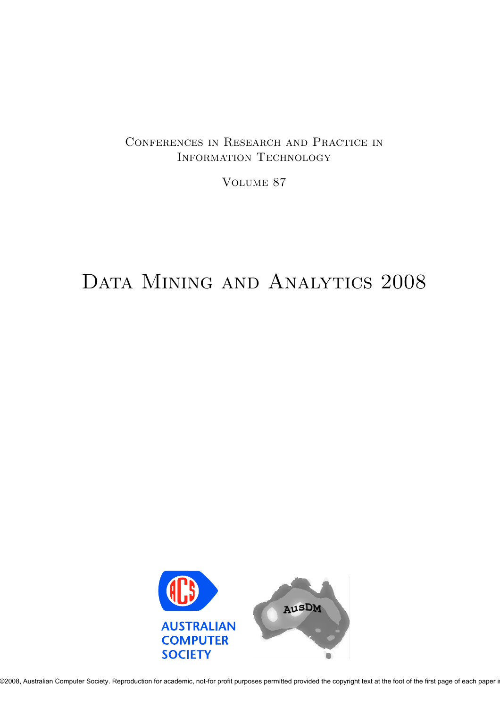### Conferences in Research and Practice in Information Technology

Volume 87

# DATA MINING AND ANALYTICS 2008

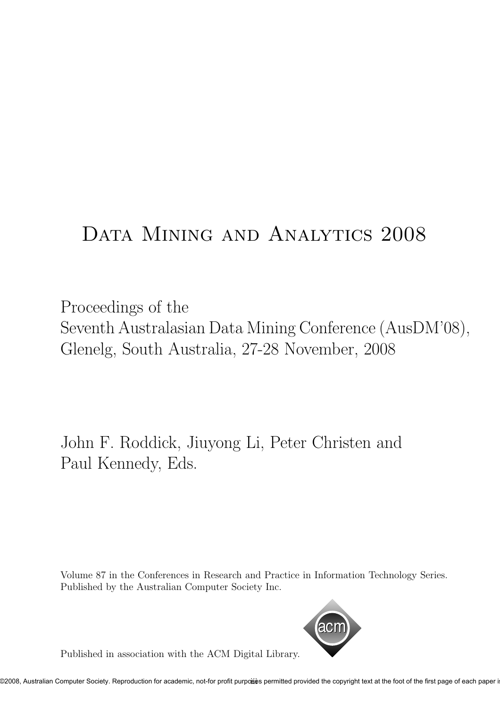# Data Mining and Analytics 2008

Proceedings of the Seventh Australasian Data Mining Conference (AusDM'08), Glenelg, South Australia, 27-28 November, 2008

John F. Roddick, Jiuyong Li, Peter Christen and Paul Kennedy, Eds.

Volume 87 in the Conferences in Research and Practice in Information Technology Series. Published by the Australian Computer Society Inc.



Published in association with the ACM Digital Library.